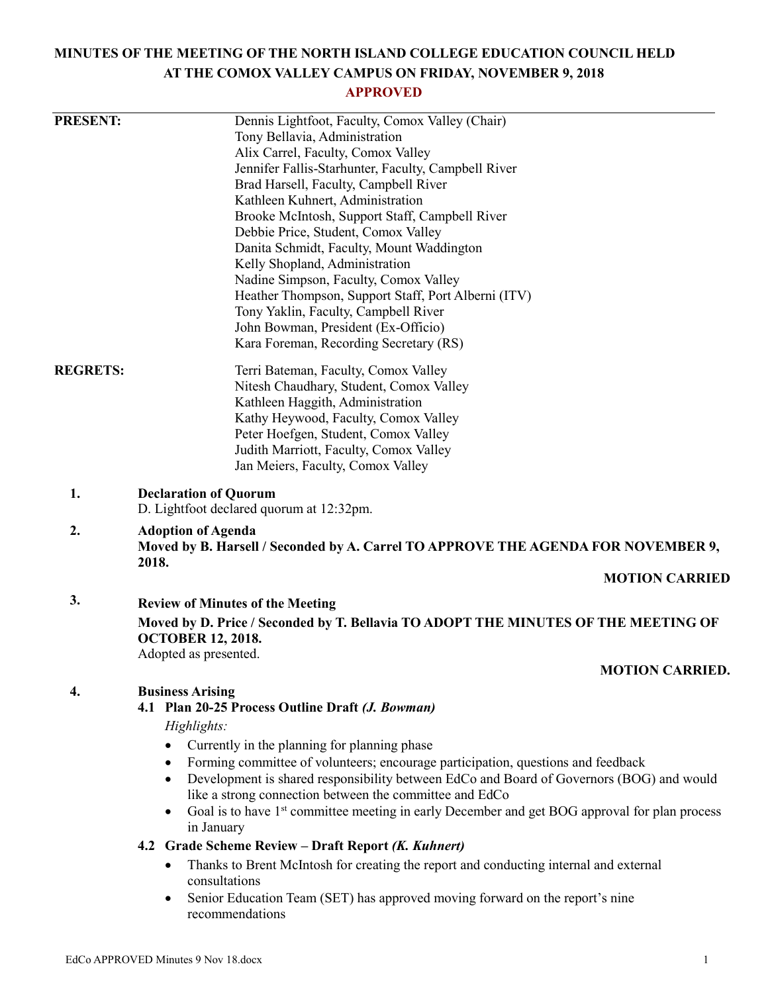# **MINUTES OF THE MEETING OF THE NORTH ISLAND COLLEGE EDUCATION COUNCIL HELD AT THE COMOX VALLEY CAMPUS ON FRIDAY, NOVEMBER 9, 2018**

# **APPROVED**

| <b>PRESENT:</b> | Dennis Lightfoot, Faculty, Comox Valley (Chair)                                                                                      |  |  |
|-----------------|--------------------------------------------------------------------------------------------------------------------------------------|--|--|
|                 | Tony Bellavia, Administration                                                                                                        |  |  |
|                 | Alix Carrel, Faculty, Comox Valley                                                                                                   |  |  |
|                 | Jennifer Fallis-Starhunter, Faculty, Campbell River                                                                                  |  |  |
|                 | Brad Harsell, Faculty, Campbell River                                                                                                |  |  |
|                 | Kathleen Kuhnert, Administration                                                                                                     |  |  |
|                 | Brooke McIntosh, Support Staff, Campbell River                                                                                       |  |  |
|                 | Debbie Price, Student, Comox Valley                                                                                                  |  |  |
|                 | Danita Schmidt, Faculty, Mount Waddington                                                                                            |  |  |
|                 | Kelly Shopland, Administration<br>Nadine Simpson, Faculty, Comox Valley                                                              |  |  |
|                 | Heather Thompson, Support Staff, Port Alberni (ITV)                                                                                  |  |  |
|                 | Tony Yaklin, Faculty, Campbell River                                                                                                 |  |  |
|                 | John Bowman, President (Ex-Officio)                                                                                                  |  |  |
|                 | Kara Foreman, Recording Secretary (RS)                                                                                               |  |  |
| <b>REGRETS:</b> | Terri Bateman, Faculty, Comox Valley                                                                                                 |  |  |
|                 | Nitesh Chaudhary, Student, Comox Valley                                                                                              |  |  |
|                 | Kathleen Haggith, Administration                                                                                                     |  |  |
|                 | Kathy Heywood, Faculty, Comox Valley                                                                                                 |  |  |
|                 | Peter Hoefgen, Student, Comox Valley                                                                                                 |  |  |
|                 | Judith Marriott, Faculty, Comox Valley                                                                                               |  |  |
|                 | Jan Meiers, Faculty, Comox Valley                                                                                                    |  |  |
| 1.              | <b>Declaration of Quorum</b><br>D. Lightfoot declared quorum at 12:32pm.                                                             |  |  |
| 2.              | <b>Adoption of Agenda</b>                                                                                                            |  |  |
|                 | Moved by B. Harsell / Seconded by A. Carrel TO APPROVE THE AGENDA FOR NOVEMBER 9,<br>2018.                                           |  |  |
|                 | <b>MOTION CARRIED</b>                                                                                                                |  |  |
| 3.              | <b>Review of Minutes of the Meeting</b>                                                                                              |  |  |
|                 | Moved by D. Price / Seconded by T. Bellavia TO ADOPT THE MINUTES OF THE MEETING OF<br><b>OCTOBER 12, 2018.</b>                       |  |  |
|                 | Adopted as presented.                                                                                                                |  |  |
|                 | <b>MOTION CARRIED.</b>                                                                                                               |  |  |
| 4.              | <b>Business Arising</b>                                                                                                              |  |  |
|                 | 4.1 Plan 20-25 Process Outline Draft (J. Bowman)                                                                                     |  |  |
|                 | Highlights:                                                                                                                          |  |  |
|                 | Currently in the planning for planning phase<br>$\bullet$                                                                            |  |  |
|                 | Forming committee of volunteers; encourage participation, questions and feedback<br>٠                                                |  |  |
|                 | Development is shared responsibility between EdCo and Board of Governors (BOG) and would<br>$\bullet$                                |  |  |
|                 | like a strong connection between the committee and EdCo                                                                              |  |  |
|                 | Goal is to have 1 <sup>st</sup> committee meeting in early December and get BOG approval for plan process<br>$\bullet$<br>in January |  |  |
|                 | 4.2 Grade Scheme Review - Draft Report (K. Kuhnert)                                                                                  |  |  |
|                 | Thanks to Brent McIntosh for creating the report and conducting internal and external<br>٠<br>consultations                          |  |  |
|                 | Senior Education Team (SET) has approved moving forward on the report's nine                                                         |  |  |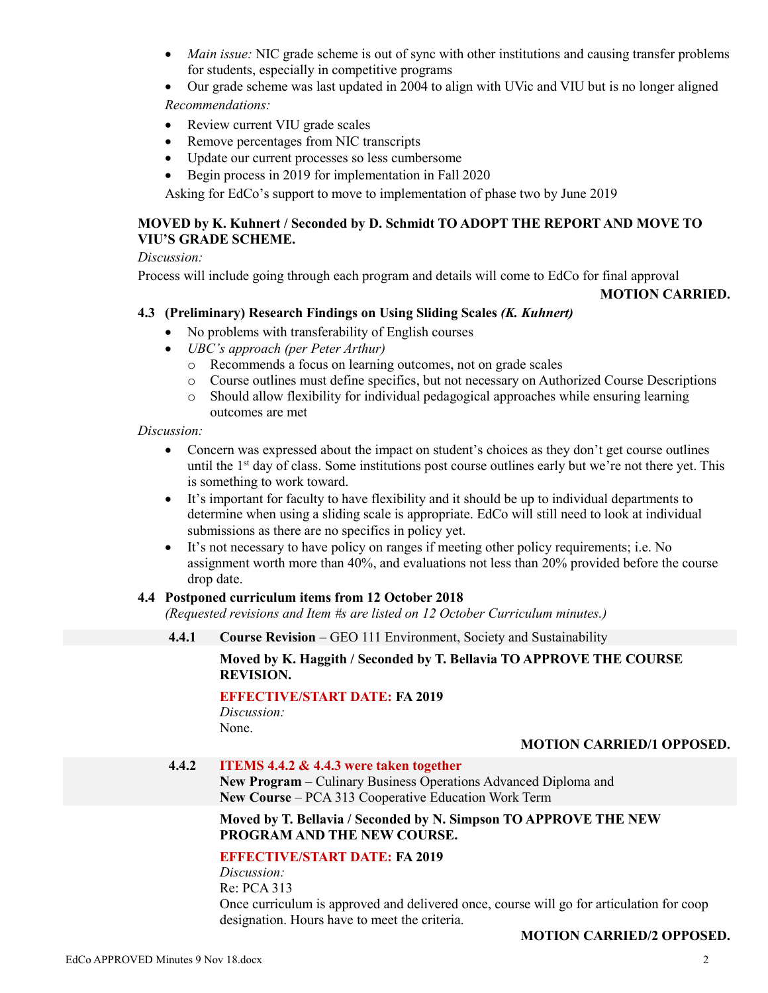- *Main issue:* NIC grade scheme is out of sync with other institutions and causing transfer problems for students, especially in competitive programs
- Our grade scheme was last updated in 2004 to align with UVic and VIU but is no longer aligned *Recommendations:*
- Review current VIU grade scales
- Remove percentages from NIC transcripts
- Update our current processes so less cumbersome
- Begin process in 2019 for implementation in Fall 2020

Asking for EdCo's support to move to implementation of phase two by June 2019

# **MOVED by K. Kuhnert / Seconded by D. Schmidt TO ADOPT THE REPORT AND MOVE TO VIU'S GRADE SCHEME.**

#### *Discussion:*

Process will include going through each program and details will come to EdCo for final approval

#### **MOTION CARRIED.**

#### **4.3 (Preliminary) Research Findings on Using Sliding Scales** *(K. Kuhnert)*

- No problems with transferability of English courses
- *UBC's approach (per Peter Arthur)*
	- o Recommends a focus on learning outcomes, not on grade scales
	- o Course outlines must define specifics, but not necessary on Authorized Course Descriptions
	- o Should allow flexibility for individual pedagogical approaches while ensuring learning outcomes are met

*Discussion:*

- Concern was expressed about the impact on student's choices as they don't get course outlines until the 1<sup>st</sup> day of class. Some institutions post course outlines early but we're not there yet. This is something to work toward.
- It's important for faculty to have flexibility and it should be up to individual departments to determine when using a sliding scale is appropriate. EdCo will still need to look at individual submissions as there are no specifics in policy yet.
- It's not necessary to have policy on ranges if meeting other policy requirements; i.e. No assignment worth more than 40%, and evaluations not less than 20% provided before the course drop date.

#### **4.4 Postponed curriculum items from 12 October 2018**

*(Requested revisions and Item #s are listed on 12 October Curriculum minutes.)*

**4.4.1 Course Revision** – GEO 111 Environment, Society and Sustainability

#### **Moved by K. Haggith / Seconded by T. Bellavia TO APPROVE THE COURSE REVISION.**

# **EFFECTIVE/START DATE: FA 2019**

*Discussion:* None.

#### **MOTION CARRIED/1 OPPOSED.**

#### **4.4.2 ITEMS 4.4.2 & 4.4.3 were taken together**

**New Program –** Culinary Business Operations Advanced Diploma and **New Course** – PCA 313 Cooperative Education Work Term

#### **Moved by T. Bellavia / Seconded by N. Simpson TO APPROVE THE NEW PROGRAM AND THE NEW COURSE.**

# **EFFECTIVE/START DATE: FA 2019**

*Discussion:* Re: PCA 313 Once curriculum is approved and delivered once, course will go for articulation for coop designation. Hours have to meet the criteria.

#### **MOTION CARRIED/2 OPPOSED.**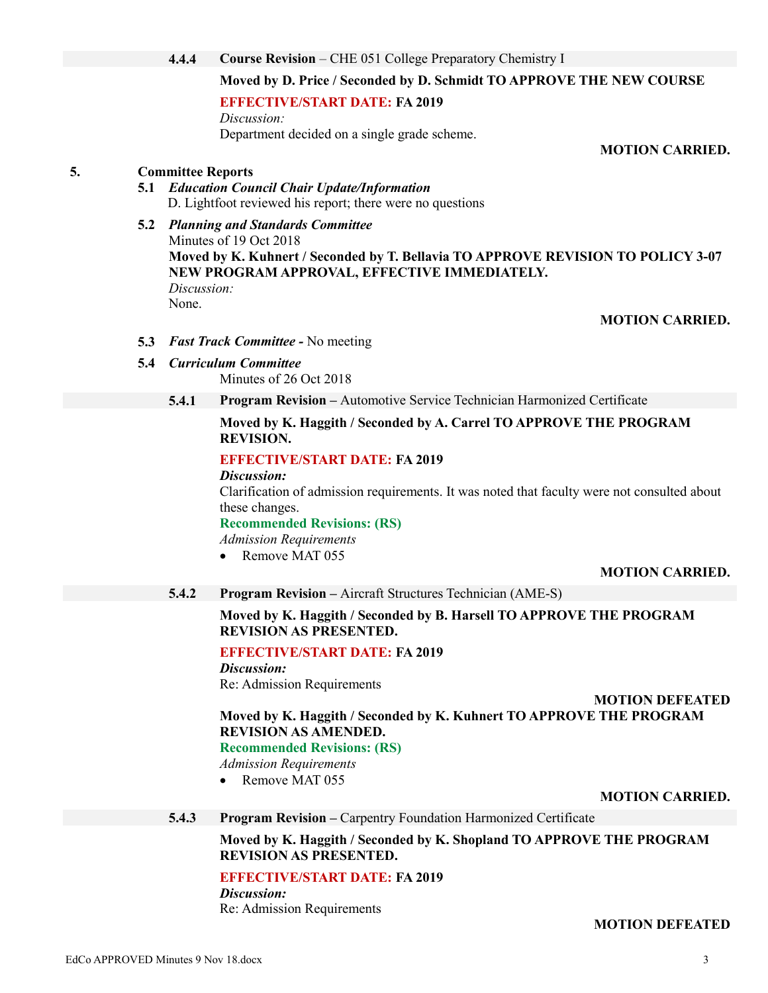**4.4.4 Course Revision** – CHE 051 College Preparatory Chemistry I

#### **Moved by D. Price / Seconded by D. Schmidt TO APPROVE THE NEW COURSE**

**EFFECTIVE/START DATE: FA 2019**

*Discussion:* Department decided on a single grade scheme.

**MOTION CARRIED.**

#### **5. Committee Reports**

- **5.1** *Education Council Chair Update/Information* D. Lightfoot reviewed his report; there were no questions
- **5.2** *Planning and Standards Committee* Minutes of 19 Oct 2018 **Moved by K. Kuhnert / Seconded by T. Bellavia TO APPROVE REVISION TO POLICY 3-07 NEW PROGRAM APPROVAL, EFFECTIVE IMMEDIATELY.** *Discussion:* None.
	- **MOTION CARRIED.**

- **5.3** *Fast Track Committee -* No meeting
- **5.4** *Curriculum Committee*

Minutes of 26 Oct 2018

**5.4.1 Program Revision –** Automotive Service Technician Harmonized Certificate

#### **Moved by K. Haggith / Seconded by A. Carrel TO APPROVE THE PROGRAM REVISION.**

#### **EFFECTIVE/START DATE: FA 2019**

*Discussion:*

Clarification of admission requirements. It was noted that faculty were not consulted about these changes.

**Recommended Revisions: (RS)**

*Admission Requirements*

• Remove MAT 055

#### **MOTION CARRIED.**

**5.4.2 Program Revision –** Aircraft Structures Technician (AME-S)

**Moved by K. Haggith / Seconded by B. Harsell TO APPROVE THE PROGRAM REVISION AS PRESENTED.**

# **EFFECTIVE/START DATE: FA 2019**

*Discussion:* Re: Admission Requirements

**MOTION DEFEATED Moved by K. Haggith / Seconded by K. Kuhnert TO APPROVE THE PROGRAM REVISION AS AMENDED.**

#### **Recommended Revisions: (RS)**

*Admission Requirements*

• Remove MAT 055

#### **MOTION CARRIED.**

**5.4.3 Program Revision –** Carpentry Foundation Harmonized Certificate

**Moved by K. Haggith / Seconded by K. Shopland TO APPROVE THE PROGRAM REVISION AS PRESENTED.**

#### **EFFECTIVE/START DATE: FA 2019**

*Discussion:* Re: Admission Requirements

#### **MOTION DEFEATED**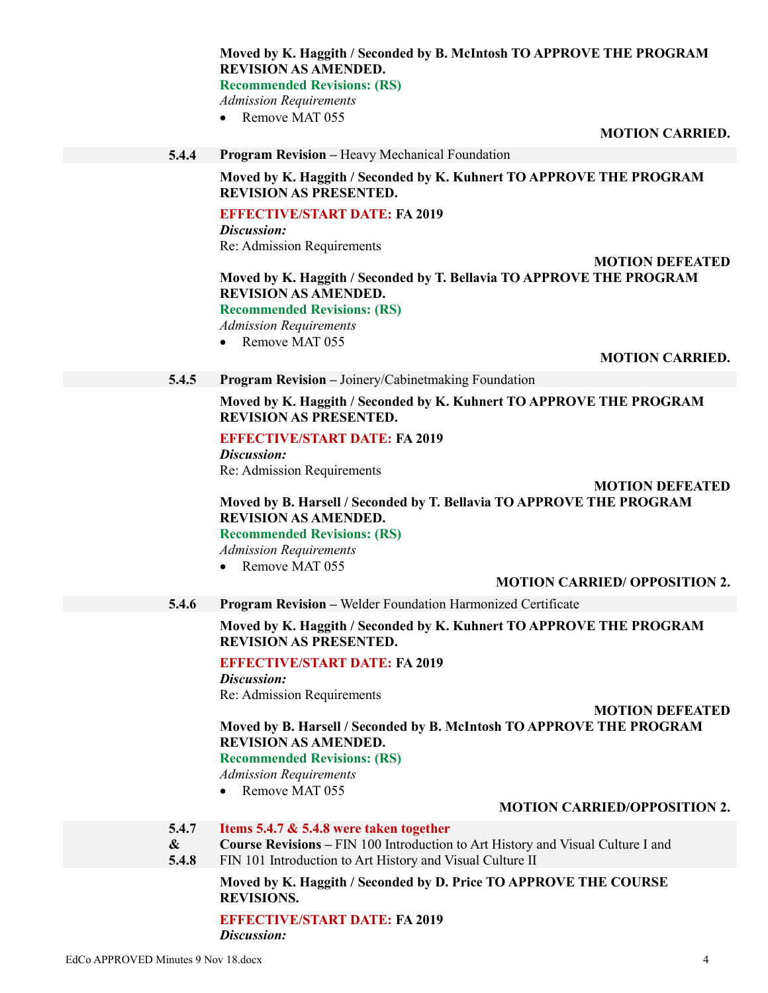**Moved by K. Haggith / Seconded by B. McIntosh TO APPROVE THE PROGRAM REVISION AS AMENDED.**

**Recommended Revisions: (RS)**

*Admission Requirements*

• Remove MAT 055

**MOTION CARRIED.**

**5.4.4 Program Revision –** Heavy Mechanical Foundation

**Moved by K. Haggith / Seconded by K. Kuhnert TO APPROVE THE PROGRAM REVISION AS PRESENTED.**

#### **EFFECTIVE/START DATE: FA 2019**

*Discussion:* Re: Admission Requirements

# **Moved by K. Haggith / Seconded by T. Bellavia TO APPROVE THE PROGRAM REVISION AS AMENDED.**

**Recommended Revisions: (RS)**

*Admission Requirements*

• Remove MAT 055

**MOTION CARRIED.**

**MOTION DEFEATED**

**5.4.5 Program Revision –** Joinery/Cabinetmaking Foundation

**Moved by K. Haggith / Seconded by K. Kuhnert TO APPROVE THE PROGRAM REVISION AS PRESENTED.**

#### **EFFECTIVE/START DATE: FA 2019**

*Discussion:* Re: Admission Requirements

**MOTION DEFEATED**

# **Moved by B. Harsell / Seconded by T. Bellavia TO APPROVE THE PROGRAM REVISION AS AMENDED.**

**Recommended Revisions: (RS)**

*Admission Requirements*

• Remove MAT 055

#### **MOTION CARRIED/ OPPOSITION 2.**

**5.4.6 Program Revision –** Welder Foundation Harmonized Certificate

**Moved by K. Haggith / Seconded by K. Kuhnert TO APPROVE THE PROGRAM REVISION AS PRESENTED.**

#### **EFFECTIVE/START DATE: FA 2019**

*Discussion:* Re: Admission Requirements

**MOTION DEFEATED**

**Moved by B. Harsell / Seconded by B. McIntosh TO APPROVE THE PROGRAM REVISION AS AMENDED. Recommended Revisions: (RS)**

*Admission Requirements*

• Remove MAT 055

#### **MOTION CARRIED/OPPOSITION 2.**

- **5.4.7 Items 5.4.7 & 5.4.8 were taken together**
- **& Course Revisions –** FIN 100 Introduction to Art History and Visual Culture I and
- **5.4.8** FIN 101 Introduction to Art History and Visual Culture II

**Moved by K. Haggith / Seconded by D. Price TO APPROVE THE COURSE REVISIONS.**

**EFFECTIVE/START DATE: FA 2019** *Discussion:*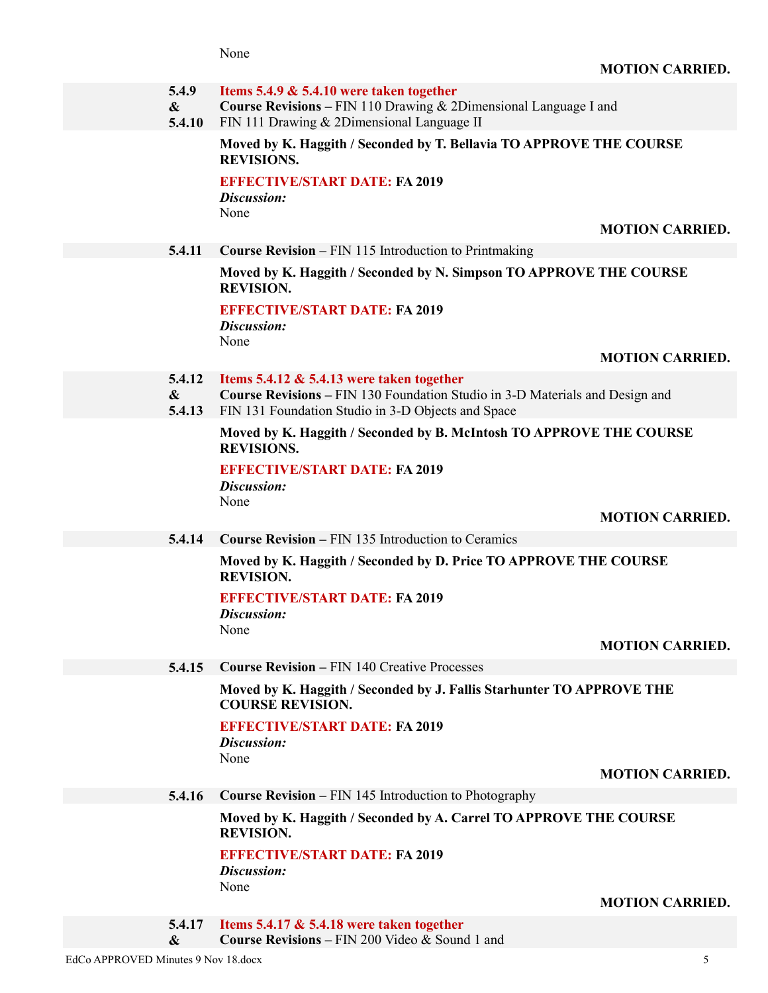|                                     | 5.4.9<br>$\boldsymbol{\&}$<br>5.4.10  | Items 5.4.9 $\&$ 5.4.10 were taken together<br>Course Revisions - FIN 110 Drawing & 2Dimensional Language I and<br>FIN 111 Drawing & 2Dimensional Language II                      |                        |
|-------------------------------------|---------------------------------------|------------------------------------------------------------------------------------------------------------------------------------------------------------------------------------|------------------------|
|                                     |                                       | Moved by K. Haggith / Seconded by T. Bellavia TO APPROVE THE COURSE<br><b>REVISIONS.</b>                                                                                           |                        |
|                                     |                                       | <b>EFFECTIVE/START DATE: FA 2019</b><br>Discussion:                                                                                                                                |                        |
|                                     |                                       | None                                                                                                                                                                               | <b>MOTION CARRIED.</b> |
|                                     | 5.4.11                                | <b>Course Revision – FIN 115 Introduction to Printmaking</b>                                                                                                                       |                        |
|                                     |                                       | Moved by K. Haggith / Seconded by N. Simpson TO APPROVE THE COURSE<br><b>REVISION.</b>                                                                                             |                        |
|                                     |                                       | <b>EFFECTIVE/START DATE: FA 2019</b><br>Discussion:                                                                                                                                |                        |
|                                     |                                       | None                                                                                                                                                                               | <b>MOTION CARRIED.</b> |
|                                     | 5.4.12<br>$\boldsymbol{\&}$<br>5.4.13 | Items 5.4.12 $\&$ 5.4.13 were taken together<br>Course Revisions - FIN 130 Foundation Studio in 3-D Materials and Design and<br>FIN 131 Foundation Studio in 3-D Objects and Space |                        |
|                                     |                                       | Moved by K. Haggith / Seconded by B. McIntosh TO APPROVE THE COURSE<br><b>REVISIONS.</b>                                                                                           |                        |
|                                     |                                       | <b>EFFECTIVE/START DATE: FA 2019</b><br>Discussion:<br>None                                                                                                                        |                        |
|                                     |                                       |                                                                                                                                                                                    | <b>MOTION CARRIED.</b> |
|                                     | 5.4.14                                | <b>Course Revision – FIN 135 Introduction to Ceramics</b>                                                                                                                          |                        |
|                                     |                                       | Moved by K. Haggith / Seconded by D. Price TO APPROVE THE COURSE<br><b>REVISION.</b>                                                                                               |                        |
|                                     |                                       | <b>EFFECTIVE/START DATE: FA 2019</b><br>Discussion:                                                                                                                                |                        |
|                                     |                                       | None                                                                                                                                                                               | <b>MOTION CARRIED.</b> |
|                                     | 5.4.15                                | <b>Course Revision - FIN 140 Creative Processes</b>                                                                                                                                |                        |
|                                     |                                       | Moved by K. Haggith / Seconded by J. Fallis Starhunter TO APPROVE THE<br><b>COURSE REVISION.</b>                                                                                   |                        |
|                                     |                                       | <b>EFFECTIVE/START DATE: FA 2019</b><br>Discussion:                                                                                                                                |                        |
|                                     |                                       | None                                                                                                                                                                               |                        |
|                                     |                                       |                                                                                                                                                                                    | <b>MOTION CARRIED.</b> |
|                                     | 5.4.16                                | <b>Course Revision – FIN 145 Introduction to Photography</b>                                                                                                                       |                        |
|                                     |                                       | Moved by K. Haggith / Seconded by A. Carrel TO APPROVE THE COURSE<br><b>REVISION.</b>                                                                                              |                        |
|                                     |                                       | <b>EFFECTIVE/START DATE: FA 2019</b><br>Discussion:<br>None                                                                                                                        |                        |
|                                     |                                       |                                                                                                                                                                                    | <b>MOTION CARRIED.</b> |
|                                     | 5.4.17<br>$\boldsymbol{\&}$           | Items 5.4.17 $\&$ 5.4.18 were taken together<br>Course Revisions - FIN 200 Video & Sound 1 and                                                                                     |                        |
| EdCo APPROVED Minutes 9 Nov 18.docx |                                       |                                                                                                                                                                                    | 5                      |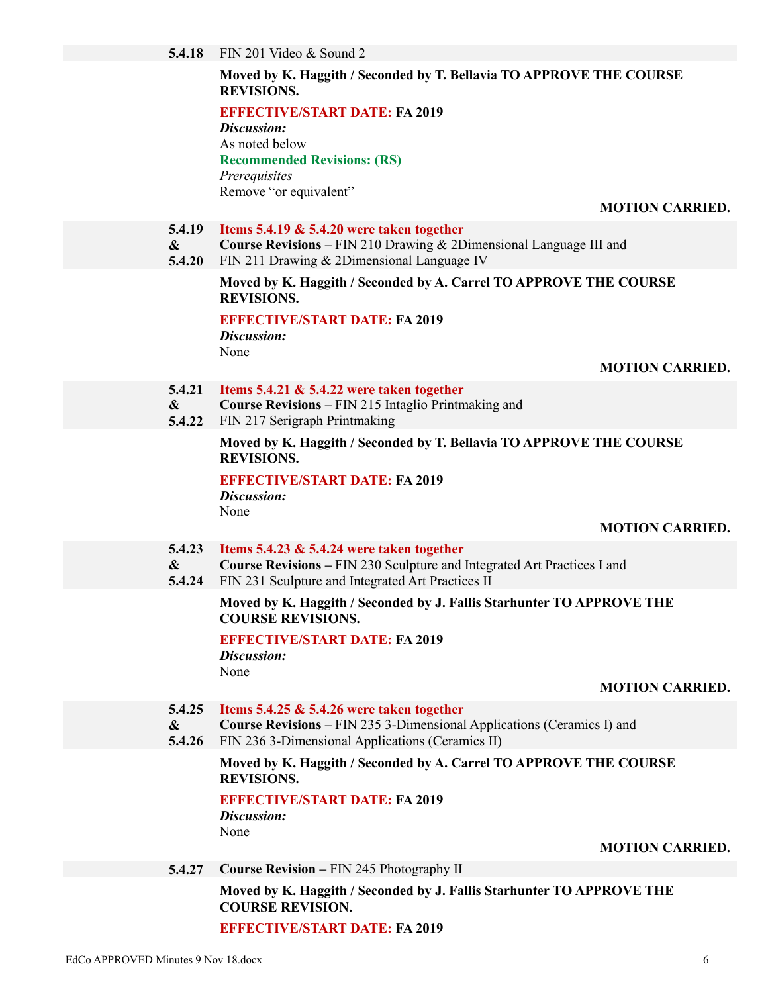#### **Moved by K. Haggith / Seconded by T. Bellavia TO APPROVE THE COURSE REVISIONS.**

**EFFECTIVE/START DATE: FA 2019**

*Discussion:* As noted below **Recommended Revisions: (RS)** *Prerequisites* Remove "or equivalent"

**MOTION CARRIED.**

- **5.4.19 Items 5.4.19 & 5.4.20 were taken together**
- **& Course Revisions –** FIN 210 Drawing & 2Dimensional Language III and
- **5.4.20** FIN 211 Drawing & 2Dimensional Language IV

#### **Moved by K. Haggith / Seconded by A. Carrel TO APPROVE THE COURSE REVISIONS.**

**EFFECTIVE/START DATE: FA 2019**

*Discussion:* None

#### **MOTION CARRIED.**

- **5.4.21 Items 5.4.21 & 5.4.22 were taken together**
- **& Course Revisions –** FIN 215 Intaglio Printmaking and
- **5.4.22** FIN 217 Serigraph Printmaking

#### **Moved by K. Haggith / Seconded by T. Bellavia TO APPROVE THE COURSE REVISIONS.**

**EFFECTIVE/START DATE: FA 2019** *Discussion:* None

#### **MOTION CARRIED.**

#### **5.4.23 Items 5.4.23 & 5.4.24 were taken together**

- **& Course Revisions –** FIN 230 Sculpture and Integrated Art Practices I and
- **5.4.24** FIN 231 Sculpture and Integrated Art Practices II

#### **Moved by K. Haggith / Seconded by J. Fallis Starhunter TO APPROVE THE COURSE REVISIONS.**

# **EFFECTIVE/START DATE: FA 2019**

*Discussion:*

None

#### **MOTION CARRIED.**

- **5.4.25 Items 5.4.25 & 5.4.26 were taken together**
- **& Course Revisions –** FIN 235 3-Dimensional Applications (Ceramics I) and
- **5.4.26** FIN 236 3-Dimensional Applications (Ceramics II)

#### **Moved by K. Haggith / Seconded by A. Carrel TO APPROVE THE COURSE REVISIONS.**

# **EFFECTIVE/START DATE: FA 2019**

*Discussion:* None

#### **MOTION CARRIED.**

**5.4.27 Course Revision –** FIN 245 Photography II

# **Moved by K. Haggith / Seconded by J. Fallis Starhunter TO APPROVE THE COURSE REVISION.**

#### **EFFECTIVE/START DATE: FA 2019**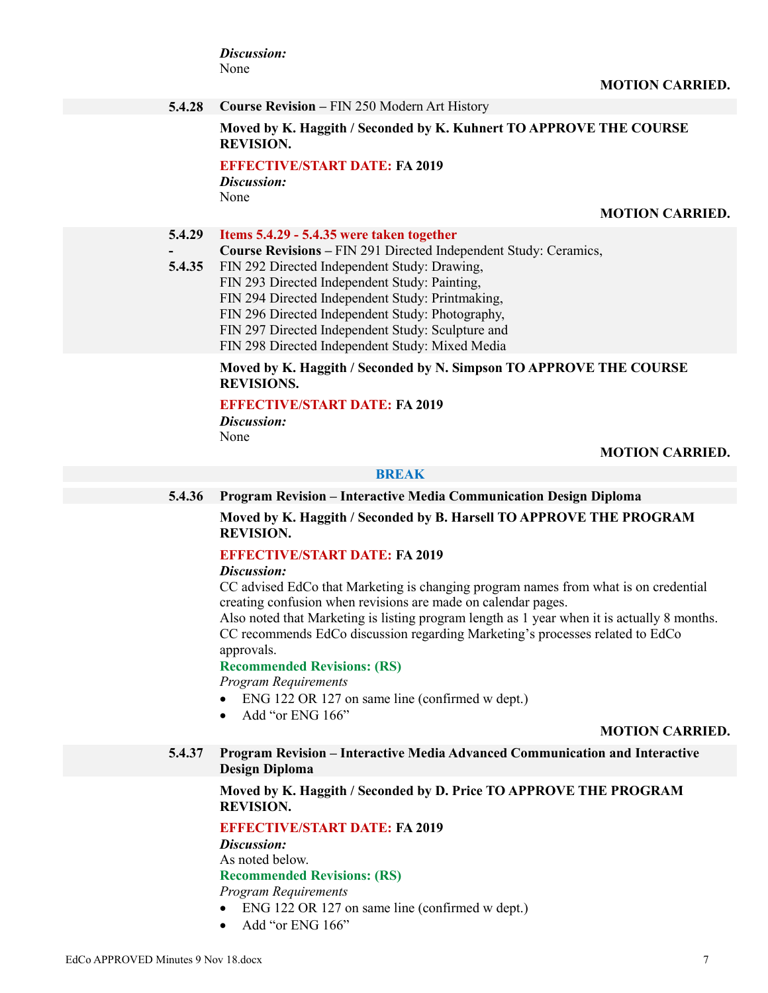*Discussion:* None

**5.4.28 Course Revision –** FIN 250 Modern Art History

**Moved by K. Haggith / Seconded by K. Kuhnert TO APPROVE THE COURSE REVISION.**

**EFFECTIVE/START DATE: FA 2019** *Discussion:*

None

**-**

**MOTION CARRIED.**

#### **5.4.29 Items 5.4.29 - 5.4.35 were taken together**

- **Course Revisions –** FIN 291 Directed Independent Study: Ceramics,
- **5.4.35** FIN 292 Directed Independent Study: Drawing, FIN 293 Directed Independent Study: Painting, FIN 294 Directed Independent Study: Printmaking, FIN 296 Directed Independent Study: Photography, FIN 297 Directed Independent Study: Sculpture and FIN 298 Directed Independent Study: Mixed Media

#### **Moved by K. Haggith / Seconded by N. Simpson TO APPROVE THE COURSE REVISIONS.**

#### **EFFECTIVE/START DATE: FA 2019**

*Discussion:* None

#### **MOTION CARRIED.**

#### **BREAK**

**5.4.36 Program Revision – Interactive Media Communication Design Diploma**

**Moved by K. Haggith / Seconded by B. Harsell TO APPROVE THE PROGRAM REVISION.**

#### **EFFECTIVE/START DATE: FA 2019**

#### *Discussion:*

CC advised EdCo that Marketing is changing program names from what is on credential creating confusion when revisions are made on calendar pages.

Also noted that Marketing is listing program length as 1 year when it is actually 8 months. CC recommends EdCo discussion regarding Marketing's processes related to EdCo approvals.

#### **Recommended Revisions: (RS)**

*Program Requirements*

- ENG 122 OR 127 on same line (confirmed w dept.)
- Add "or ENG 166"

#### **MOTION CARRIED.**

**5.4.37 Program Revision – Interactive Media Advanced Communication and Interactive Design Diploma**

#### **Moved by K. Haggith / Seconded by D. Price TO APPROVE THE PROGRAM REVISION.**

#### **EFFECTIVE/START DATE: FA 2019**

*Discussion:*

As noted below.

# **Recommended Revisions: (RS)**

*Program Requirements*

- ENG 122 OR 127 on same line (confirmed w dept.)
- Add "or ENG 166"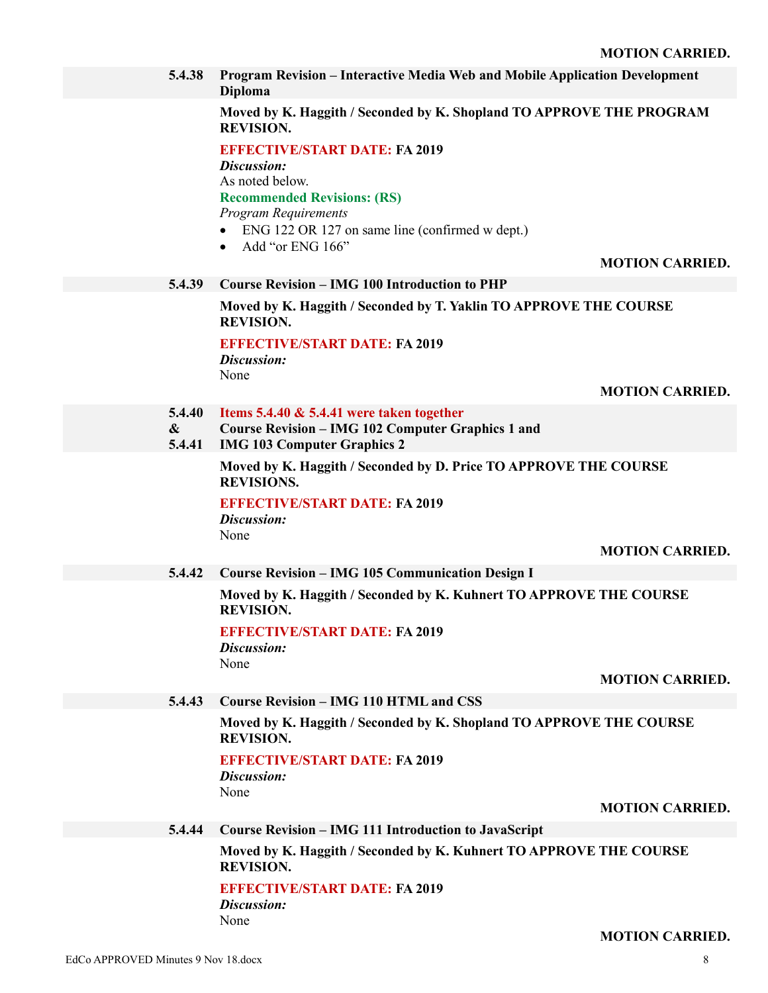**5.4.38 Program Revision – Interactive Media Web and Mobile Application Development Diploma**

**Moved by K. Haggith / Seconded by K. Shopland TO APPROVE THE PROGRAM REVISION.**

**EFFECTIVE/START DATE: FA 2019**

*Discussion:*

As noted below.

**Recommended Revisions: (RS)**

*Program Requirements*

- ENG 122 OR 127 on same line (confirmed w dept.)
- $\bullet$  Add "or ENG 166"

#### **MOTION CARRIED.**

#### **5.4.39 Course Revision – IMG 100 Introduction to PHP**

**Moved by K. Haggith / Seconded by T. Yaklin TO APPROVE THE COURSE REVISION.**

**EFFECTIVE/START DATE: FA 2019**

*Discussion:* None

#### **MOTION CARRIED.**

- **5.4.40 Items 5.4.40 & 5.4.41 were taken together**
- **& Course Revision – IMG 102 Computer Graphics 1 and**
- **5.4.41 IMG 103 Computer Graphics 2**

**Moved by K. Haggith / Seconded by D. Price TO APPROVE THE COURSE REVISIONS.**

**EFFECTIVE/START DATE: FA 2019** *Discussion:* None

#### **MOTION CARRIED.**

**5.4.42 Course Revision – IMG 105 Communication Design I**

**Moved by K. Haggith / Seconded by K. Kuhnert TO APPROVE THE COURSE REVISION.**

#### **EFFECTIVE/START DATE: FA 2019**

*Discussion:* None

#### **MOTION CARRIED.**

**5.4.43 Course Revision – IMG 110 HTML and CSS**

**Moved by K. Haggith / Seconded by K. Shopland TO APPROVE THE COURSE REVISION.**

#### **EFFECTIVE/START DATE: FA 2019**

*Discussion:* None

#### **MOTION CARRIED.**

**5.4.44 Course Revision – IMG 111 Introduction to JavaScript**

**Moved by K. Haggith / Seconded by K. Kuhnert TO APPROVE THE COURSE REVISION.**

#### **EFFECTIVE/START DATE: FA 2019**

*Discussion:* None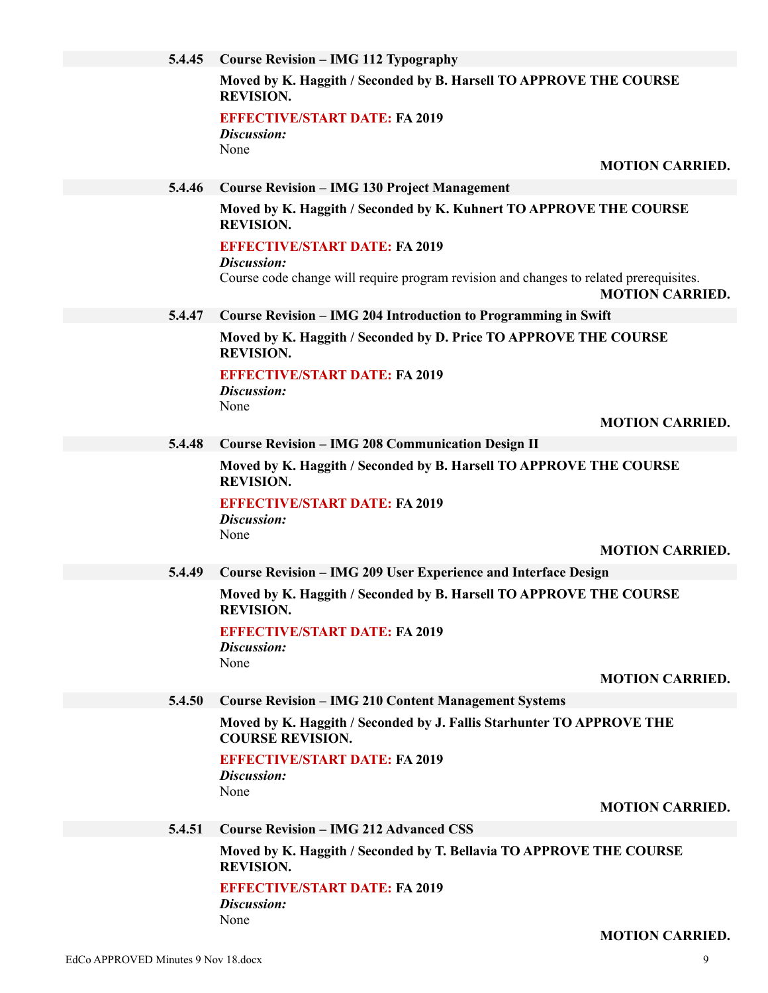| 5.4.45 | <b>Course Revision – IMG 112 Typography</b>                                                                                     |
|--------|---------------------------------------------------------------------------------------------------------------------------------|
|        | Moved by K. Haggith / Seconded by B. Harsell TO APPROVE THE COURSE<br><b>REVISION.</b>                                          |
|        | <b>EFFECTIVE/START DATE: FA 2019</b><br>Discussion:                                                                             |
|        | None                                                                                                                            |
|        | <b>MOTION CARRIED.</b>                                                                                                          |
| 5.4.46 | <b>Course Revision - IMG 130 Project Management</b>                                                                             |
|        | Moved by K. Haggith / Seconded by K. Kuhnert TO APPROVE THE COURSE<br><b>REVISION.</b>                                          |
|        | <b>EFFECTIVE/START DATE: FA 2019</b>                                                                                            |
|        | Discussion:<br>Course code change will require program revision and changes to related prerequisites.<br><b>MOTION CARRIED.</b> |
| 5.4.47 | Course Revision - IMG 204 Introduction to Programming in Swift                                                                  |
|        | Moved by K. Haggith / Seconded by D. Price TO APPROVE THE COURSE                                                                |
|        | <b>REVISION.</b>                                                                                                                |
|        | <b>EFFECTIVE/START DATE: FA 2019</b><br>Discussion:                                                                             |
|        | None                                                                                                                            |
|        | <b>MOTION CARRIED.</b>                                                                                                          |
| 5.4.48 | <b>Course Revision - IMG 208 Communication Design II</b>                                                                        |
|        | Moved by K. Haggith / Seconded by B. Harsell TO APPROVE THE COURSE<br><b>REVISION.</b>                                          |
|        | <b>EFFECTIVE/START DATE: FA 2019</b>                                                                                            |
|        | Discussion:<br>None                                                                                                             |
|        | <b>MOTION CARRIED.</b>                                                                                                          |
| 5.4.49 | <b>Course Revision - IMG 209 User Experience and Interface Design</b>                                                           |
|        | Moved by K. Haggith / Seconded by B. Harsell TO APPROVE THE COURSE<br><b>REVISION.</b>                                          |
|        | <b>EFFECTIVE/START DATE: FA 2019</b>                                                                                            |
|        | Discussion:                                                                                                                     |
|        | None<br><b>MOTION CARRIED.</b>                                                                                                  |
| 5.4.50 | <b>Course Revision - IMG 210 Content Management Systems</b>                                                                     |
|        | Moved by K. Haggith / Seconded by J. Fallis Starhunter TO APPROVE THE                                                           |
|        | <b>COURSE REVISION.</b>                                                                                                         |
|        | <b>EFFECTIVE/START DATE: FA 2019</b><br>Discussion:                                                                             |
|        | None                                                                                                                            |
|        | <b>MOTION CARRIED.</b>                                                                                                          |
| 5.4.51 | <b>Course Revision - IMG 212 Advanced CSS</b>                                                                                   |
|        | Moved by K. Haggith / Seconded by T. Bellavia TO APPROVE THE COURSE<br><b>REVISION.</b>                                         |
|        | <b>EFFECTIVE/START DATE: FA 2019</b>                                                                                            |
|        | Discussion:<br>None                                                                                                             |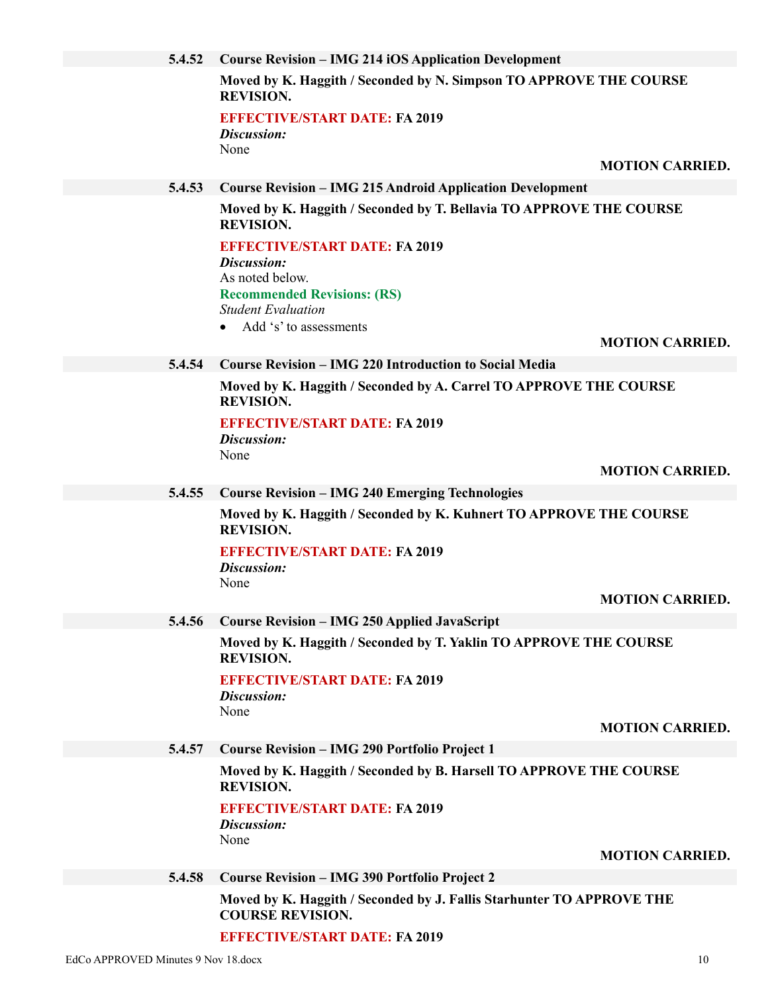| 5.4.52 | <b>Course Revision – IMG 214 iOS Application Development</b>                                                                                                                                                |  |
|--------|-------------------------------------------------------------------------------------------------------------------------------------------------------------------------------------------------------------|--|
|        | Moved by K. Haggith / Seconded by N. Simpson TO APPROVE THE COURSE<br><b>REVISION.</b>                                                                                                                      |  |
|        | <b>EFFECTIVE/START DATE: FA 2019</b><br>Discussion:                                                                                                                                                         |  |
|        | None<br><b>MOTION CARRIED.</b>                                                                                                                                                                              |  |
| 5.4.53 | <b>Course Revision - IMG 215 Android Application Development</b>                                                                                                                                            |  |
|        | Moved by K. Haggith / Seconded by T. Bellavia TO APPROVE THE COURSE<br><b>REVISION.</b>                                                                                                                     |  |
|        | <b>EFFECTIVE/START DATE: FA 2019</b>                                                                                                                                                                        |  |
|        | Discussion:<br>As noted below.                                                                                                                                                                              |  |
|        | <b>Recommended Revisions: (RS)</b>                                                                                                                                                                          |  |
|        | <b>Student Evaluation</b>                                                                                                                                                                                   |  |
|        | Add 's' to assessments<br><b>MOTION CARRIED.</b>                                                                                                                                                            |  |
| 5.4.54 | <b>Course Revision – IMG 220 Introduction to Social Media</b>                                                                                                                                               |  |
|        | Moved by K. Haggith / Seconded by A. Carrel TO APPROVE THE COURSE                                                                                                                                           |  |
|        | <b>REVISION.</b>                                                                                                                                                                                            |  |
|        | <b>EFFECTIVE/START DATE: FA 2019</b>                                                                                                                                                                        |  |
|        | Discussion:<br>None                                                                                                                                                                                         |  |
|        | <b>MOTION CARRIED.</b>                                                                                                                                                                                      |  |
| 5.4.55 | <b>Course Revision - IMG 240 Emerging Technologies</b>                                                                                                                                                      |  |
|        | Moved by K. Haggith / Seconded by K. Kuhnert TO APPROVE THE COURSE<br><b>REVISION.</b>                                                                                                                      |  |
|        | <b>EFFECTIVE/START DATE: FA 2019</b><br>Discussion:                                                                                                                                                         |  |
|        |                                                                                                                                                                                                             |  |
|        |                                                                                                                                                                                                             |  |
|        |                                                                                                                                                                                                             |  |
|        | <b>REVISION.</b>                                                                                                                                                                                            |  |
|        | <b>EFFECTIVE/START DATE: FA 2019</b>                                                                                                                                                                        |  |
|        |                                                                                                                                                                                                             |  |
|        | <b>MOTION CARRIED.</b>                                                                                                                                                                                      |  |
| 5.4.57 | <b>Course Revision - IMG 290 Portfolio Project 1</b>                                                                                                                                                        |  |
|        | Moved by K. Haggith / Seconded by B. Harsell TO APPROVE THE COURSE<br><b>REVISION.</b>                                                                                                                      |  |
|        | <b>EFFECTIVE/START DATE: FA 2019</b><br>Discussion:                                                                                                                                                         |  |
|        | None<br><b>MOTION CARRIED.</b>                                                                                                                                                                              |  |
| 5.4.58 | <b>Course Revision - IMG 390 Portfolio Project 2</b>                                                                                                                                                        |  |
|        | Moved by K. Haggith / Seconded by J. Fallis Starhunter TO APPROVE THE                                                                                                                                       |  |
| 5.4.56 | None<br><b>MOTION CARRIED</b><br><b>Course Revision - IMG 250 Applied JavaScript</b><br>Moved by K. Haggith / Seconded by T. Yaklin TO APPROVE THE COURSE<br>Discussion:<br>None<br><b>COURSE REVISION.</b> |  |

**EFFECTIVE/START DATE: FA 2019**